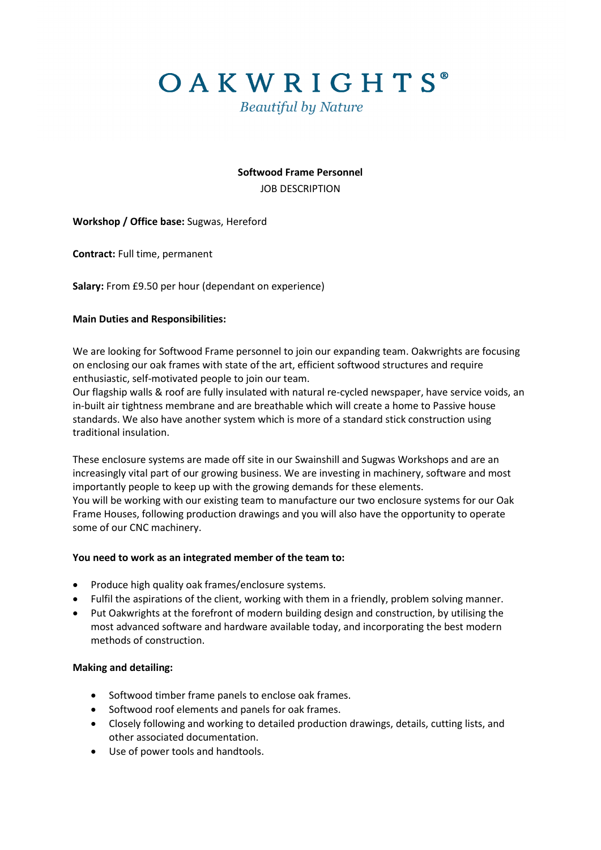OAKWRIGHTS®

**Beautiful by Nature** 

# **Softwood Frame Personnel** JOB DESCRIPTION

# **Workshop / Office base:** Sugwas, Hereford

**Contract:** Full time, permanent

**Salary:** From £9.50 per hour (dependant on experience)

# **Main Duties and Responsibilities:**

We are looking for Softwood Frame personnel to join our expanding team. Oakwrights are focusing on enclosing our oak frames with state of the art, efficient softwood structures and require enthusiastic, self-motivated people to join our team.

Our flagship walls & roof are fully insulated with natural re-cycled newspaper, have service voids, an in-built air tightness membrane and are breathable which will create a home to Passive house standards. We also have another system which is more of a standard stick construction using traditional insulation.

These enclosure systems are made off site in our Swainshill and Sugwas Workshops and are an increasingly vital part of our growing business. We are investing in machinery, software and most importantly people to keep up with the growing demands for these elements. You will be working with our existing team to manufacture our two enclosure systems for our Oak Frame Houses, following production drawings and you will also have the opportunity to operate some of our CNC machinery.

## **You need to work as an integrated member of the team to:**

- Produce high quality oak frames/enclosure systems.
- Fulfil the aspirations of the client, working with them in a friendly, problem solving manner.
- Put Oakwrights at the forefront of modern building design and construction, by utilising the most advanced software and hardware available today, and incorporating the best modern methods of construction.

## **Making and detailing:**

- Softwood timber frame panels to enclose oak frames.
- Softwood roof elements and panels for oak frames.
- Closely following and working to detailed production drawings, details, cutting lists, and other associated documentation.
- Use of power tools and handtools.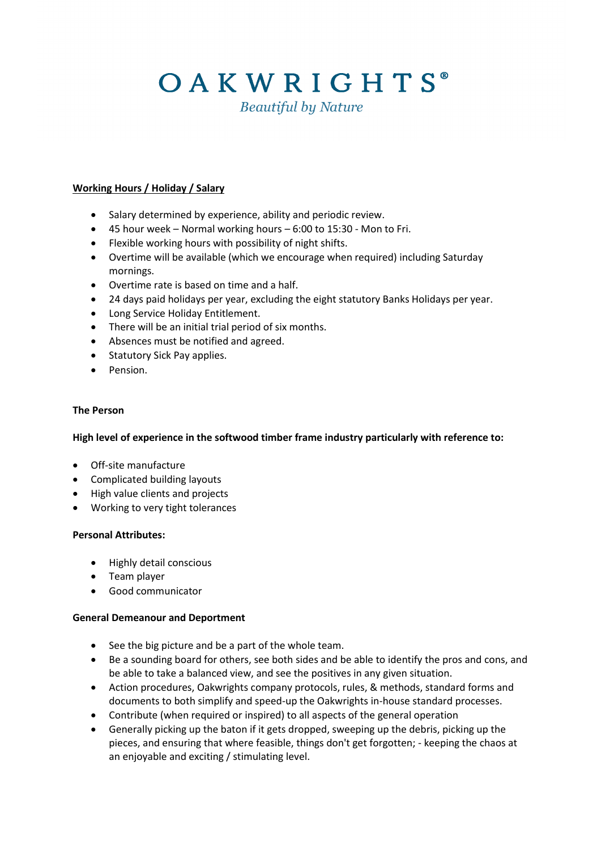# OAKWRIGHTS®

**Beautiful by Nature** 

# **Working Hours / Holiday / Salary**

- Salary determined by experience, ability and periodic review.
- 45 hour week Normal working hours 6:00 to 15:30 Mon to Fri.
- Flexible working hours with possibility of night shifts.
- Overtime will be available (which we encourage when required) including Saturday mornings.
- Overtime rate is based on time and a half.
- 24 days paid holidays per year, excluding the eight statutory Banks Holidays per year.
- Long Service Holiday Entitlement.
- There will be an initial trial period of six months.
- Absences must be notified and agreed.
- Statutory Sick Pay applies.
- Pension.

#### **The Person**

**High level of experience in the softwood timber frame industry particularly with reference to:**

- Off-site manufacture
- Complicated building layouts
- High value clients and projects
- Working to very tight tolerances

## **Personal Attributes:**

- Highly detail conscious
- Team player
- Good communicator

## **General Demeanour and Deportment**

- See the big picture and be a part of the whole team.
- Be a sounding board for others, see both sides and be able to identify the pros and cons, and be able to take a balanced view, and see the positives in any given situation.
- Action procedures, Oakwrights company protocols, rules, & methods, standard forms and documents to both simplify and speed-up the Oakwrights in-house standard processes.
- Contribute (when required or inspired) to all aspects of the general operation
- Generally picking up the baton if it gets dropped, sweeping up the debris, picking up the pieces, and ensuring that where feasible, things don't get forgotten; - keeping the chaos at an enjoyable and exciting / stimulating level.